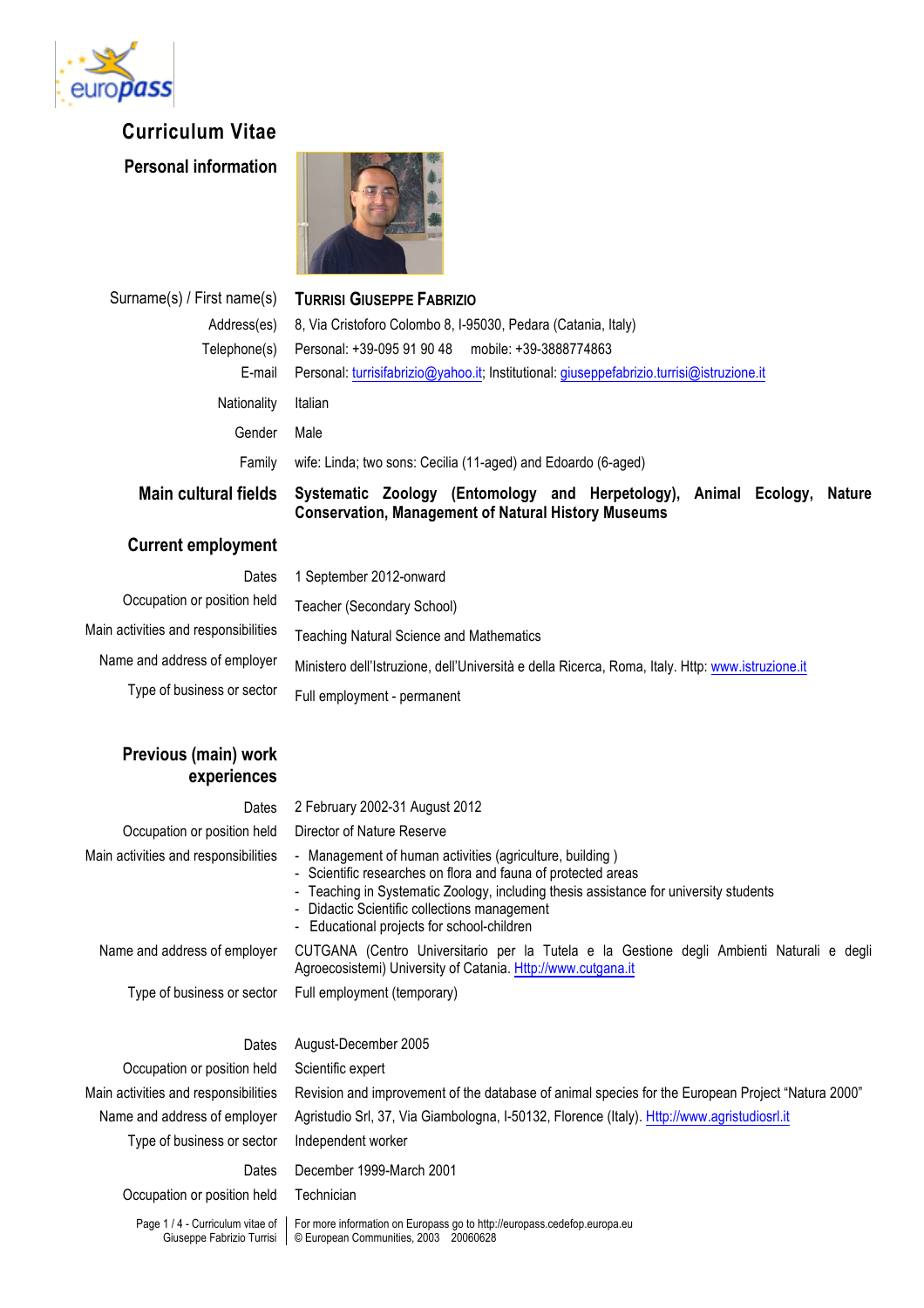

## **Curriculum Vitae**

**Personal information**



| Surname(s) / First name(s) | <b>TURRISI GIUSEPPE FABRIZIO</b>                                                                                                      |
|----------------------------|---------------------------------------------------------------------------------------------------------------------------------------|
| Address(es)                | 8, Via Cristoforo Colombo 8, I-95030, Pedara (Catania, Italy)                                                                         |
| Telephone(s)               | Personal: +39-095 91 90 48 mobile: +39-3888774863                                                                                     |
| E-mail                     | Personal: turrisifabrizio@yahoo.it; Institutional: giuseppefabrizio.turrisi@istruzione.it                                             |
| Nationality                | Italian                                                                                                                               |
| Gender                     | Male                                                                                                                                  |
| Family                     | wife: Linda; two sons: Cecilia (11-aged) and Edoardo (6-aged)                                                                         |
| Main cultural fields       | Systematic Zoology (Entomology and Herpetology), Animal Ecology, Nature<br><b>Conservation, Management of Natural History Museums</b> |

## **Current employment**

Occupation or position held Teacher (Secondary School)

# Dates 1 September 2012-onward Main activities and responsibilities Teaching Natural Science and Mathematics Name and address of employer Ministero dell'Istruzione, dell'Università e della Ricerca, Roma, Italy. Http: www.istruzione.it

Type of business or sector Full employment - permanent

## **Previous (main) work experiences**

| Dates                                | 2 February 2002-31 August 2012                                                                                                                                                                                                                                                                                   |
|--------------------------------------|------------------------------------------------------------------------------------------------------------------------------------------------------------------------------------------------------------------------------------------------------------------------------------------------------------------|
| Occupation or position held          | Director of Nature Reserve                                                                                                                                                                                                                                                                                       |
| Main activities and responsibilities | - Management of human activities (agriculture, building)<br>- Scientific researches on flora and fauna of protected areas<br>- Teaching in Systematic Zoology, including thesis assistance for university students<br>- Didactic Scientific collections management<br>- Educational projects for school-children |
| Name and address of employer         | CUTGANA (Centro Universitario per la Tutela e la Gestione degli Ambienti Naturali e degli<br>Agroecosistemi) University of Catania. Http://www.cutgana.it                                                                                                                                                        |
|                                      | $T_{1,0,0}$ of business an oasten $\Gamma_{1,1}$ ample meant (temperan)                                                                                                                                                                                                                                          |

Type of business or sector Full employment (temporary)

Occupation or position held Scientific expert Type of business or sector Independent worker

Dates August-December 2005 Main activities and responsibilities Revision and improvement of the database of animal species for the European Project "Natura 2000" Name and address of employer Agristudio Srl, 37, Via Giambologna, I-50132, Florence (Italy). Http://www.agristudiosrl.it Dates December 1999-March 2001

Occupation or position held Technician

Page 1 / 4 - Curriculum vitae of Giuseppe Fabrizio Turrisi

For more information on Europass go to http://europass.cedefop.europa.eu © European Communities, 2003 20060628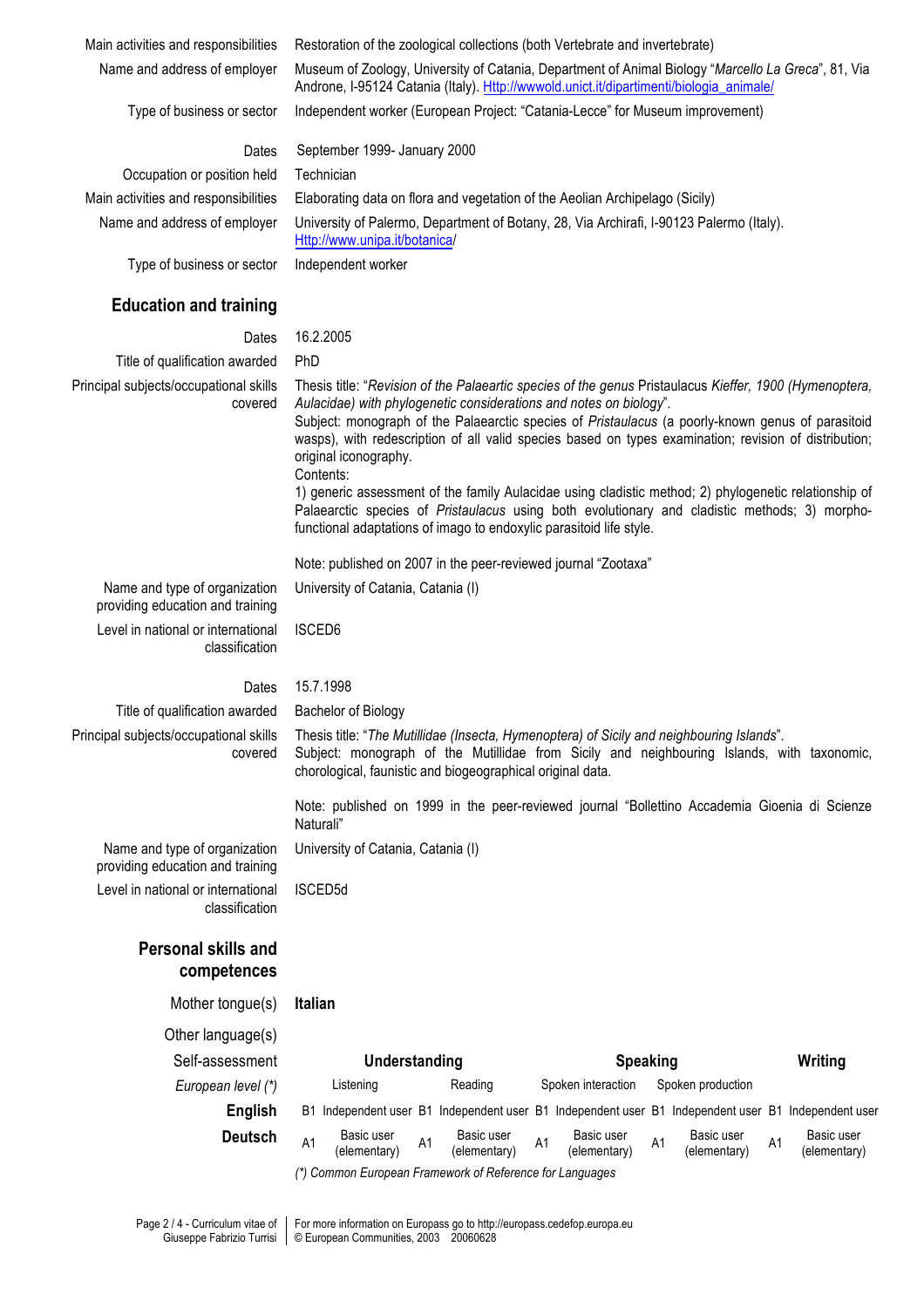Main activities and responsibilities Restoration of the zoological collections (both Vertebrate and invertebrate)

Name and address of employer Museum of Zoology, University of Catania, Department of Animal Biology "*Marcello La Greca*", 81, Via

Androne, I-95124 Catania (Italy). Http://wwwold.unict.it/dipartimenti/biologia\_animale/ Type of business or sector Independent worker (European Project: "Catania-Lecce" for Museum improvement)

### **Dates** September 1999- January 2000

Occupation or position held Technician

Main activities and responsibilities Elaborating data on flora and vegetation of the Aeolian Archipelago (Sicily) Name and address of employer University of Palermo, Department of Botany, 28, Via Archirafi, I-90123 Palermo (Italy). Http://www.unipa.it/botanica/

Type of business or sector Independent worker

## **Education and training**

## Dates 16.2.2005

Title of qualification awarded PhD Principal subjects/occupational skills covered

Thesis title: "*Revision of the Palaeartic species of the genus* Pristaulacus *Kieffer, 1900 (Hymenoptera, Aulacidae) with phylogenetic considerations and notes on biology*". Subject: monograph of the Palaearctic species of *Pristaulacus* (a poorly-known genus of parasitoid wasps), with redescription of all valid species based on types examination; revision of distribution; original iconography. Contents:

1) generic assessment of the family Aulacidae using cladistic method; 2) phylogenetic relationship of Palaearctic species of *Pristaulacus* using both evolutionary and cladistic methods; 3) morphofunctional adaptations of imago to endoxylic parasitoid life style.

Note: published on 2007 in the peer-reviewed journal "Zootaxa"

Name and type of organization providing education and training Level in national or international classification

ISCED6

University of Catania, Catania (I)

University of Catania, Catania (I)

## Dates 15.7.1998

ISCED5d

Title of qualification awarded Bachelor of Biology Principal subjects/occupational skills covered

Thesis title: "*The Mutillidae (Insecta, Hymenoptera) of Sicily and neighbouring Islands*". Subject: monograph of the Mutillidae from Sicily and neighbouring Islands, with taxonomic, chorological, faunistic and biogeographical original data.

Note: published on 1999 in the peer-reviewed journal "Bollettino Accademia Gioenia di Scienze Naturali"

Name and type of organization providing education and training Level in national or international classification

## **Personal skills and competences**

Mother tongue(s) **Italian**

Other language(s)

Self-assessment **Understanding Speaking Writing** *European level (\*)* Listening Reading Spoken interaction Spoken production **English** B1 Independent user B1 Independent user B1 Independent user B1 Independent user B1 Independent user **Deutsch** A1 Basic user<br>(elementary) Basic user and Basic user and Basic user<br>
(elementary) A1 (elementary) A1 (elementary) Basic user and Basic user and Basic user<br>
(elementary) A1 (elementary) A1 (elementary)

(elementary)

*(\*) Common European Framework of Reference for Languages*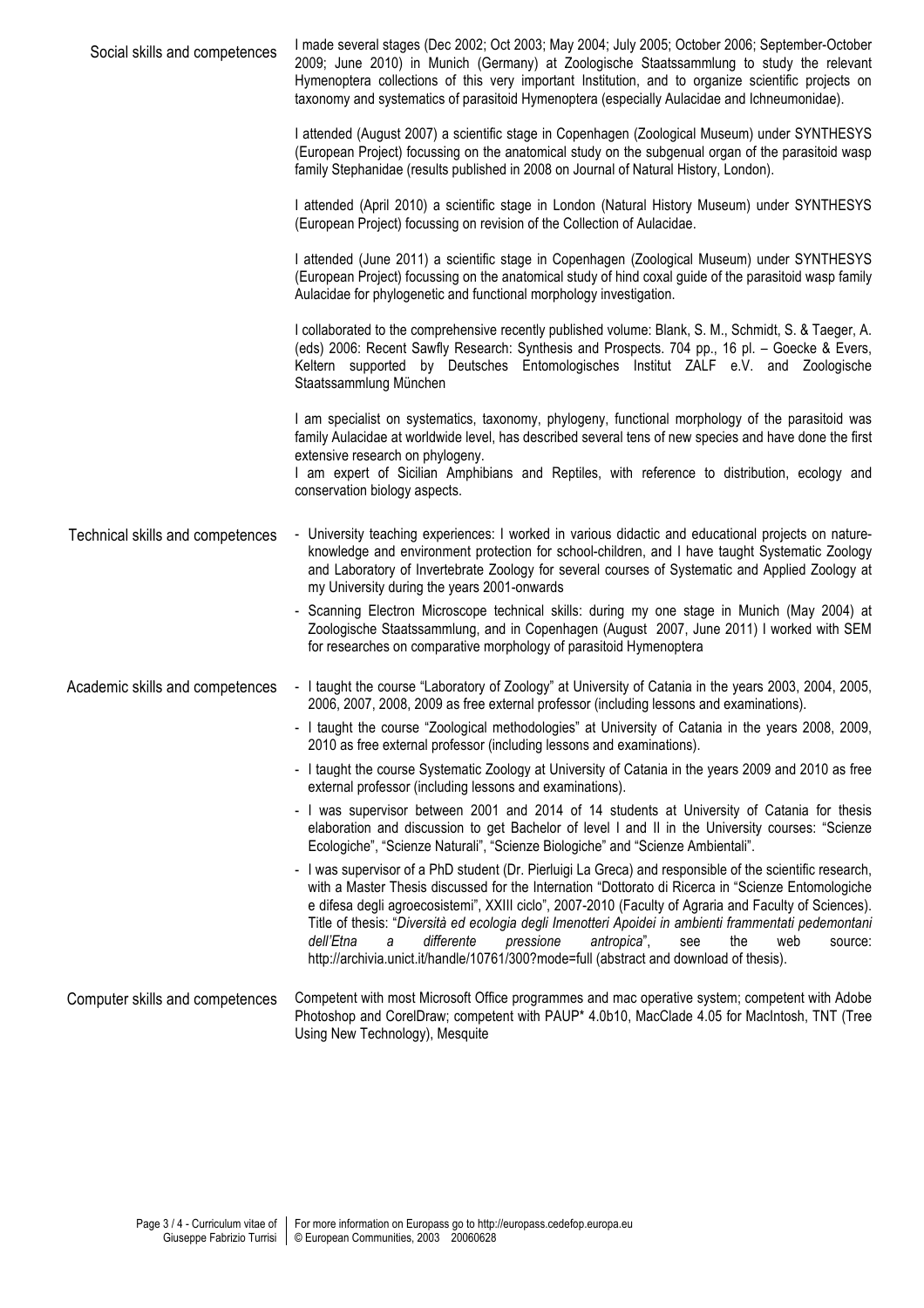| Social skills and competences    | I made several stages (Dec 2002; Oct 2003; May 2004; July 2005; October 2006; September-October<br>2009; June 2010) in Munich (Germany) at Zoologische Staatssammlung to study the relevant<br>Hymenoptera collections of this very important Institution, and to organize scientific projects on<br>taxonomy and systematics of parasitoid Hymenoptera (especially Aulacidae and Ichneumonidae).                                                                                                                                                                                                                     |
|----------------------------------|-----------------------------------------------------------------------------------------------------------------------------------------------------------------------------------------------------------------------------------------------------------------------------------------------------------------------------------------------------------------------------------------------------------------------------------------------------------------------------------------------------------------------------------------------------------------------------------------------------------------------|
|                                  | I attended (August 2007) a scientific stage in Copenhagen (Zoological Museum) under SYNTHESYS<br>(European Project) focussing on the anatomical study on the subgenual organ of the parasitoid wasp<br>family Stephanidae (results published in 2008 on Journal of Natural History, London).                                                                                                                                                                                                                                                                                                                          |
|                                  | I attended (April 2010) a scientific stage in London (Natural History Museum) under SYNTHESYS<br>(European Project) focussing on revision of the Collection of Aulacidae.                                                                                                                                                                                                                                                                                                                                                                                                                                             |
|                                  | I attended (June 2011) a scientific stage in Copenhagen (Zoological Museum) under SYNTHESYS<br>(European Project) focussing on the anatomical study of hind coxal guide of the parasitoid wasp family<br>Aulacidae for phylogenetic and functional morphology investigation.                                                                                                                                                                                                                                                                                                                                          |
|                                  | I collaborated to the comprehensive recently published volume: Blank, S. M., Schmidt, S. & Taeger, A.<br>(eds) 2006: Recent Sawfly Research: Synthesis and Prospects. 704 pp., 16 pl. - Goecke & Evers,<br>Keltern supported by Deutsches Entomologisches Institut ZALF e.V. and Zoologische<br>Staatssammlung München                                                                                                                                                                                                                                                                                                |
|                                  | I am specialist on systematics, taxonomy, phylogeny, functional morphology of the parasitoid was<br>family Aulacidae at worldwide level, has described several tens of new species and have done the first<br>extensive research on phylogeny.<br>I am expert of Sicilian Amphibians and Reptiles, with reference to distribution, ecology and<br>conservation biology aspects.                                                                                                                                                                                                                                       |
| Technical skills and competences | - University teaching experiences: I worked in various didactic and educational projects on nature-<br>knowledge and environment protection for school-children, and I have taught Systematic Zoology<br>and Laboratory of Invertebrate Zoology for several courses of Systematic and Applied Zoology at<br>my University during the years 2001-onwards                                                                                                                                                                                                                                                               |
|                                  | - Scanning Electron Microscope technical skills: during my one stage in Munich (May 2004) at<br>Zoologische Staatssammlung, and in Copenhagen (August 2007, June 2011) I worked with SEM<br>for researches on comparative morphology of parasitoid Hymenoptera                                                                                                                                                                                                                                                                                                                                                        |
| Academic skills and competences  | - I taught the course "Laboratory of Zoology" at University of Catania in the years 2003, 2004, 2005,<br>2006, 2007, 2008, 2009 as free external professor (including lessons and examinations).                                                                                                                                                                                                                                                                                                                                                                                                                      |
|                                  | - I taught the course "Zoological methodologies" at University of Catania in the years 2008, 2009,<br>2010 as free external professor (including lessons and examinations).                                                                                                                                                                                                                                                                                                                                                                                                                                           |
|                                  | - I taught the course Systematic Zoology at University of Catania in the years 2009 and 2010 as free<br>external professor (including lessons and examinations).                                                                                                                                                                                                                                                                                                                                                                                                                                                      |
|                                  | - I was supervisor between 2001 and 2014 of 14 students at University of Catania for thesis<br>elaboration and discussion to get Bachelor of level I and II in the University courses: "Scienze<br>Ecologiche", "Scienze Naturali", "Scienze Biologiche" and "Scienze Ambientali".                                                                                                                                                                                                                                                                                                                                    |
|                                  | - I was supervisor of a PhD student (Dr. Pierluigi La Greca) and responsible of the scientific research,<br>with a Master Thesis discussed for the Internation "Dottorato di Ricerca in "Scienze Entomologiche<br>e difesa degli agroecosistemi", XXIII ciclo", 2007-2010 (Faculty of Agraria and Faculty of Sciences).<br>Title of thesis: "Diversità ed ecologia degli Imenotteri Apoidei in ambienti frammentati pedemontani<br>antropica",<br>dell'Etna<br>differente<br>pressione<br>the<br>a<br>see<br>web<br>source:<br>http://archivia.unict.it/handle/10761/300?mode=full (abstract and download of thesis). |
| Computer skills and competences  | Competent with most Microsoft Office programmes and mac operative system; competent with Adobe<br>Photoshop and CorelDraw; competent with PAUP* 4.0b10, MacClade 4.05 for MacIntosh, TNT (Tree<br>Using New Technology), Mesquite                                                                                                                                                                                                                                                                                                                                                                                     |